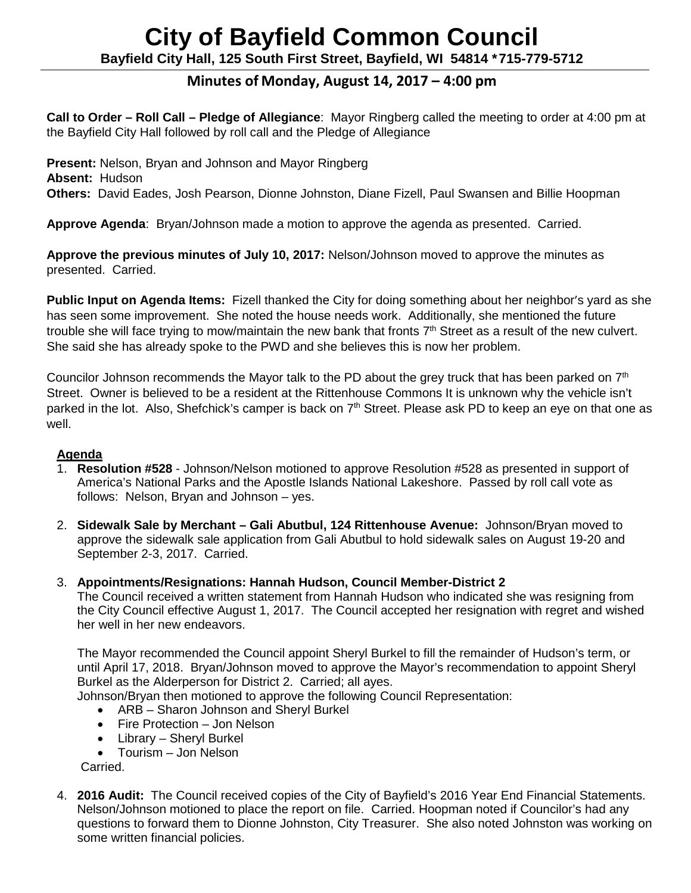# **City of Bayfield Common Council Bayfield City Hall, 125 South First Street, Bayfield, WI 54814 \*715-779-5712**

# **Minutes of Monday, August 14, 2017 – 4:00 pm**

**Call to Order – Roll Call – Pledge of Allegiance**: Mayor Ringberg called the meeting to order at 4:00 pm at the Bayfield City Hall followed by roll call and the Pledge of Allegiance

**Present:** Nelson, Bryan and Johnson and Mayor Ringberg **Absent:** Hudson **Others:** David Eades, Josh Pearson, Dionne Johnston, Diane Fizell, Paul Swansen and Billie Hoopman

**Approve Agenda**: Bryan/Johnson made a motion to approve the agenda as presented. Carried.

**Approve the previous minutes of July 10, 2017:** Nelson/Johnson moved to approve the minutes as presented. Carried.

**Public Input on Agenda Items:** Fizell thanked the City for doing something about her neighbor's yard as she has seen some improvement. She noted the house needs work. Additionally, she mentioned the future trouble she will face trying to mow/maintain the new bank that fronts 7<sup>th</sup> Street as a result of the new culvert. She said she has already spoke to the PWD and she believes this is now her problem.

Councilor Johnson recommends the Mayor talk to the PD about the grey truck that has been parked on 7<sup>th</sup> Street. Owner is believed to be a resident at the Rittenhouse Commons It is unknown why the vehicle isn't parked in the lot. Also, Shefchick's camper is back on 7<sup>th</sup> Street. Please ask PD to keep an eye on that one as well.

### **Agenda**

- 1. **Resolution #528** Johnson/Nelson motioned to approve Resolution #528 as presented in support of America's National Parks and the Apostle Islands National Lakeshore. Passed by roll call vote as follows: Nelson, Bryan and Johnson – yes.
- 2. **Sidewalk Sale by Merchant – Gali Abutbul, 124 Rittenhouse Avenue:** Johnson/Bryan moved to approve the sidewalk sale application from Gali Abutbul to hold sidewalk sales on August 19-20 and September 2-3, 2017. Carried.
- 3. **Appointments/Resignations: Hannah Hudson, Council Member-District 2**

The Council received a written statement from Hannah Hudson who indicated she was resigning from the City Council effective August 1, 2017. The Council accepted her resignation with regret and wished her well in her new endeavors.

The Mayor recommended the Council appoint Sheryl Burkel to fill the remainder of Hudson's term, or until April 17, 2018. Bryan/Johnson moved to approve the Mayor's recommendation to appoint Sheryl Burkel as the Alderperson for District 2. Carried; all ayes.

Johnson/Bryan then motioned to approve the following Council Representation:

- ARB Sharon Johnson and Sheryl Burkel
- Fire Protection Jon Nelson
- Library Sheryl Burkel
- Tourism Jon Nelson

Carried.

4. **2016 Audit:** The Council received copies of the City of Bayfield's 2016 Year End Financial Statements. Nelson/Johnson motioned to place the report on file. Carried. Hoopman noted if Councilor's had any questions to forward them to Dionne Johnston, City Treasurer. She also noted Johnston was working on some written financial policies.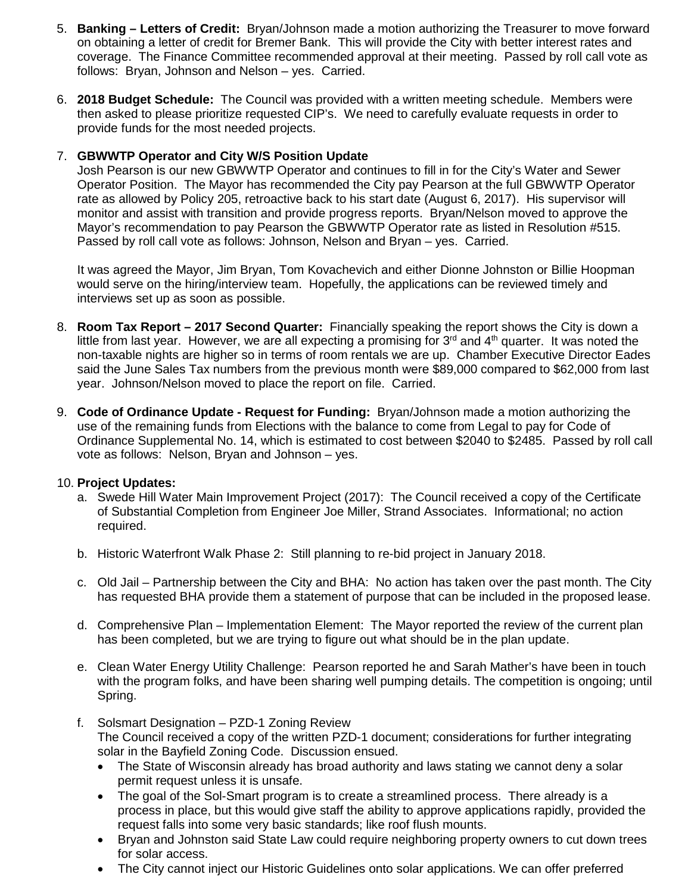- 5. **Banking – Letters of Credit:** Bryan/Johnson made a motion authorizing the Treasurer to move forward on obtaining a letter of credit for Bremer Bank. This will provide the City with better interest rates and coverage. The Finance Committee recommended approval at their meeting. Passed by roll call vote as follows: Bryan, Johnson and Nelson – yes. Carried.
- 6. **2018 Budget Schedule:** The Council was provided with a written meeting schedule. Members were then asked to please prioritize requested CIP's. We need to carefully evaluate requests in order to provide funds for the most needed projects.

## 7. **GBWWTP Operator and City W/S Position Update**

Josh Pearson is our new GBWWTP Operator and continues to fill in for the City's Water and Sewer Operator Position. The Mayor has recommended the City pay Pearson at the full GBWWTP Operator rate as allowed by Policy 205, retroactive back to his start date (August 6, 2017). His supervisor will monitor and assist with transition and provide progress reports. Bryan/Nelson moved to approve the Mayor's recommendation to pay Pearson the GBWWTP Operator rate as listed in Resolution #515. Passed by roll call vote as follows: Johnson, Nelson and Bryan – yes. Carried.

It was agreed the Mayor, Jim Bryan, Tom Kovachevich and either Dionne Johnston or Billie Hoopman would serve on the hiring/interview team. Hopefully, the applications can be reviewed timely and interviews set up as soon as possible.

- 8. **Room Tax Report – 2017 Second Quarter:** Financially speaking the report shows the City is down a little from last year. However, we are all expecting a promising for  $3<sup>rd</sup>$  and  $4<sup>th</sup>$  quarter. It was noted the non-taxable nights are higher so in terms of room rentals we are up. Chamber Executive Director Eades said the June Sales Tax numbers from the previous month were \$89,000 compared to \$62,000 from last year. Johnson/Nelson moved to place the report on file. Carried.
- 9. **Code of Ordinance Update - Request for Funding:** Bryan/Johnson made a motion authorizing the use of the remaining funds from Elections with the balance to come from Legal to pay for Code of Ordinance Supplemental No. 14, which is estimated to cost between \$2040 to \$2485. Passed by roll call vote as follows: Nelson, Bryan and Johnson – yes.

### 10. **Project Updates:**

- a. Swede Hill Water Main Improvement Project (2017): The Council received a copy of the Certificate of Substantial Completion from Engineer Joe Miller, Strand Associates. Informational; no action required.
- b. Historic Waterfront Walk Phase 2: Still planning to re-bid project in January 2018.
- c. Old Jail Partnership between the City and BHA: No action has taken over the past month. The City has requested BHA provide them a statement of purpose that can be included in the proposed lease.
- d. Comprehensive Plan Implementation Element: The Mayor reported the review of the current plan has been completed, but we are trying to figure out what should be in the plan update.
- e. Clean Water Energy Utility Challenge: Pearson reported he and Sarah Mather's have been in touch with the program folks, and have been sharing well pumping details. The competition is ongoing; until Spring.
- f. Solsmart Designation PZD-1 Zoning Review The Council received a copy of the written PZD-1 document; considerations for further integrating solar in the Bayfield Zoning Code. Discussion ensued.
	- The State of Wisconsin already has broad authority and laws stating we cannot deny a solar permit request unless it is unsafe.
	- The goal of the Sol-Smart program is to create a streamlined process. There already is a process in place, but this would give staff the ability to approve applications rapidly, provided the request falls into some very basic standards; like roof flush mounts.
	- Bryan and Johnston said State Law could require neighboring property owners to cut down trees for solar access.
	- The City cannot inject our Historic Guidelines onto solar applications. We can offer preferred